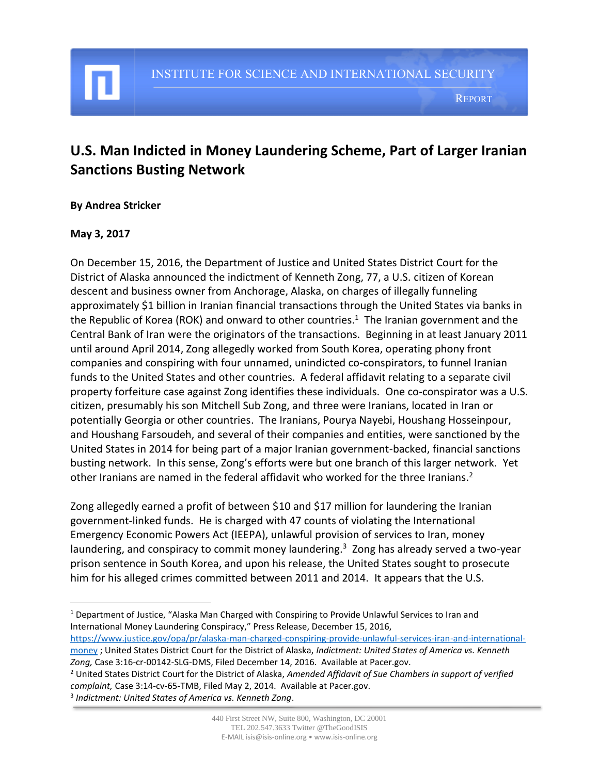# **U.S. Man Indicted in Money Laundering Scheme, Part of Larger Iranian Sanctions Busting Network**

#### **By Andrea Stricker**

#### **May 3, 2017**

 $\overline{a}$ 

On December 15, 2016, the Department of Justice and United States District Court for the District of Alaska announced the indictment of Kenneth Zong, 77, a U.S. citizen of Korean descent and business owner from Anchorage, Alaska, on charges of illegally funneling approximately \$1 billion in Iranian financial transactions through the United States via banks in the Republic of Korea (ROK) and onward to other countries.<sup>1</sup> The Iranian government and the Central Bank of Iran were the originators of the transactions. Beginning in at least January 2011 until around April 2014, Zong allegedly worked from South Korea, operating phony front companies and conspiring with four unnamed, unindicted co-conspirators, to funnel Iranian funds to the United States and other countries. A federal affidavit relating to a separate civil property forfeiture case against Zong identifies these individuals. One co-conspirator was a U.S. citizen, presumably his son Mitchell Sub Zong, and three were Iranians, located in Iran or potentially Georgia or other countries. The Iranians, Pourya Nayebi, Houshang Hosseinpour, and Houshang Farsoudeh, and several of their companies and entities, were sanctioned by the United States in 2014 for being part of a major Iranian government-backed, financial sanctions busting network. In this sense, Zong's efforts were but one branch of this larger network. Yet other Iranians are named in the federal affidavit who worked for the three Iranians.<sup>2</sup>

Zong allegedly earned a profit of between \$10 and \$17 million for laundering the Iranian government-linked funds. He is charged with 47 counts of violating the International Emergency Economic Powers Act (IEEPA), unlawful provision of services to Iran, money laundering, and conspiracy to commit money laundering.<sup>3</sup> Zong has already served a two-year prison sentence in South Korea, and upon his release, the United States sought to prosecute him for his alleged crimes committed between 2011 and 2014. It appears that the U.S.

[https://www.justice.gov/opa/pr/alaska-man-charged-conspiring-provide-unlawful-services-iran-and-international](https://www.justice.gov/opa/pr/alaska-man-charged-conspiring-provide-unlawful-services-iran-and-international-money)[money](https://www.justice.gov/opa/pr/alaska-man-charged-conspiring-provide-unlawful-services-iran-and-international-money) ; United States District Court for the District of Alaska, *Indictment: United States of America vs. Kenneth* 

*Zong,* Case 3:16-cr-00142-SLG-DMS, Filed December 14, 2016. Available at Pacer.gov.

<sup>2</sup> United States District Court for the District of Alaska, *Amended Affidavit of Sue Chambers in support of verified complaint,* Case 3:14-cv-65-TMB, Filed May 2, 2014. Available at Pacer.gov.

3 *Indictment: United States of America vs. Kenneth Zong*.

<sup>&</sup>lt;sup>1</sup> Department of Justice, "Alaska Man Charged with Conspiring to Provide Unlawful Services to Iran and International Money Laundering Conspiracy," Press Release, December 15, 2016,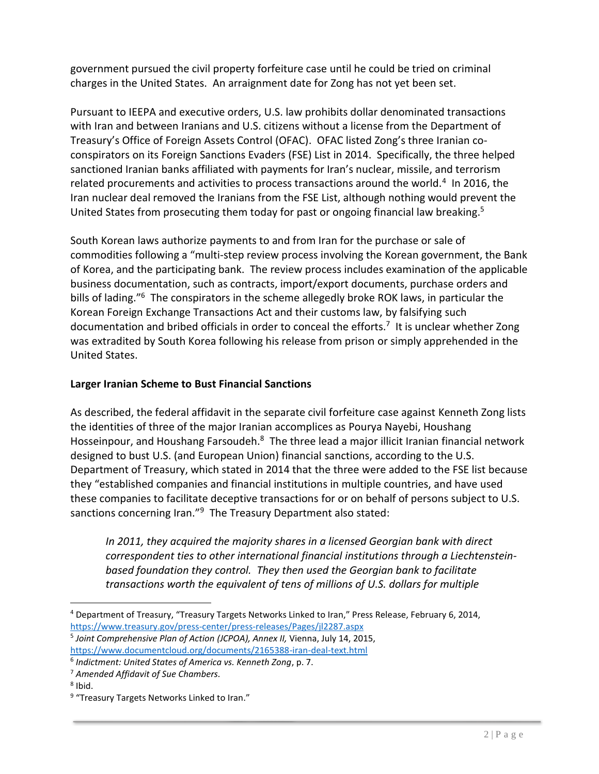government pursued the civil property forfeiture case until he could be tried on criminal charges in the United States. An arraignment date for Zong has not yet been set.

Pursuant to IEEPA and executive orders, U.S. law prohibits dollar denominated transactions with Iran and between Iranians and U.S. citizens without a license from the Department of Treasury's Office of Foreign Assets Control (OFAC). OFAC listed Zong's three Iranian coconspirators on its Foreign Sanctions Evaders (FSE) List in 2014. Specifically, the three helped sanctioned Iranian banks affiliated with payments for Iran's nuclear, missile, and terrorism related procurements and activities to process transactions around the world.<sup>4</sup> In 2016, the Iran nuclear deal removed the Iranians from the FSE List, although nothing would prevent the United States from prosecuting them today for past or ongoing financial law breaking. 5

South Korean laws authorize payments to and from Iran for the purchase or sale of commodities following a "multi-step review process involving the Korean government, the Bank of Korea, and the participating bank. The review process includes examination of the applicable business documentation, such as contracts, import/export documents, purchase orders and bills of lading."<sup>6</sup> The conspirators in the scheme allegedly broke ROK laws, in particular the Korean Foreign Exchange Transactions Act and their customs law, by falsifying such documentation and bribed officials in order to conceal the efforts.<sup>7</sup> It is unclear whether Zong was extradited by South Korea following his release from prison or simply apprehended in the United States.

## **Larger Iranian Scheme to Bust Financial Sanctions**

As described, the federal affidavit in the separate civil forfeiture case against Kenneth Zong lists the identities of three of the major Iranian accomplices as Pourya Nayebi, Houshang Hosseinpour, and Houshang Farsoudeh.<sup>8</sup> The three lead a major illicit Iranian financial network designed to bust U.S. (and European Union) financial sanctions, according to the U.S. Department of Treasury, which stated in 2014 that the three were added to the FSE list because they "established companies and financial institutions in multiple countries, and have used these companies to facilitate deceptive transactions for or on behalf of persons subject to U.S. sanctions concerning Iran."<sup>9</sup> The Treasury Department also stated:

*In 2011, they acquired the majority shares in a licensed Georgian bank with direct correspondent ties to other international financial institutions through a Liechtensteinbased foundation they control. They then used the Georgian bank to facilitate transactions worth the equivalent of tens of millions of U.S. dollars for multiple* 

 $\overline{a}$ <sup>4</sup> Department of Treasury, "Treasury Targets Networks Linked to Iran," Press Release, February 6, 2014, <https://www.treasury.gov/press-center/press-releases/Pages/jl2287.aspx>

<sup>5</sup> *Joint Comprehensive Plan of Action (JCPOA), Annex II,* Vienna, July 14, 2015, <https://www.documentcloud.org/documents/2165388-iran-deal-text.html>

<sup>6</sup> *Indictment: United States of America vs. Kenneth Zong*, p. 7.

<sup>7</sup> *Amended Affidavit of Sue Chambers.*

<sup>&</sup>lt;sup>8</sup> Ibid.

<sup>&</sup>lt;sup>9</sup> "Treasury Targets Networks Linked to Iran."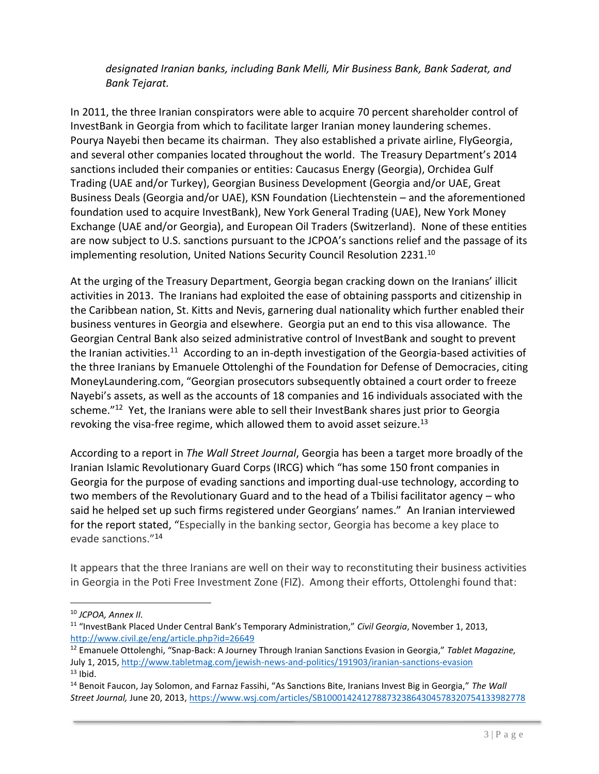*designated Iranian banks, including Bank Melli, Mir Business Bank, Bank Saderat, and Bank Tejarat.*

In 2011, the three Iranian conspirators were able to acquire 70 percent shareholder control of InvestBank in Georgia from which to facilitate larger Iranian money laundering schemes. Pourya Nayebi then became its chairman. They also established a private airline, FlyGeorgia, and several other companies located throughout the world. The Treasury Department's 2014 sanctions included their companies or entities: Caucasus Energy (Georgia), Orchidea Gulf Trading (UAE and/or Turkey), Georgian Business Development (Georgia and/or UAE, Great Business Deals (Georgia and/or UAE), KSN Foundation (Liechtenstein – and the aforementioned foundation used to acquire InvestBank), New York General Trading (UAE), New York Money Exchange (UAE and/or Georgia), and European Oil Traders (Switzerland). None of these entities are now subject to U.S. sanctions pursuant to the JCPOA's sanctions relief and the passage of its implementing resolution, United Nations Security Council Resolution 2231.<sup>10</sup>

At the urging of the Treasury Department, Georgia began cracking down on the Iranians' illicit activities in 2013. The Iranians had exploited the ease of obtaining passports and citizenship in the Caribbean nation, St. Kitts and Nevis, garnering dual nationality which further enabled their business ventures in Georgia and elsewhere. Georgia put an end to this visa allowance. The Georgian Central Bank also seized administrative control of InvestBank and sought to prevent the Iranian activities.<sup>11</sup> According to an in-depth investigation of the Georgia-based activities of the three Iranians by Emanuele Ottolenghi of the Foundation for Defense of Democracies, citing MoneyLaundering.com, "Georgian prosecutors subsequently obtained a court order to freeze Nayebi's assets, as well as the accounts of 18 companies and 16 individuals associated with the scheme."<sup>12</sup> Yet, the Iranians were able to sell their InvestBank shares just prior to Georgia revoking the visa-free regime, which allowed them to avoid asset seizure.<sup>13</sup>

According to a report in *The Wall Street Journal*, Georgia has been a target more broadly of the Iranian Islamic Revolutionary Guard Corps (IRCG) which "has some 150 front companies in Georgia for the purpose of evading sanctions and importing dual-use technology, according to two members of the Revolutionary Guard and to the head of a Tbilisi facilitator agency – who said he helped set up such firms registered under Georgians' names." An Iranian interviewed for the report stated, "Especially in the banking sector, Georgia has become a key place to evade sanctions."<sup>14</sup>

It appears that the three Iranians are well on their way to reconstituting their business activities in Georgia in the Poti Free Investment Zone (FIZ). Among their efforts, Ottolenghi found that:

 $\overline{a}$ 

<sup>10</sup> *JCPOA, Annex II.*

<sup>11</sup> "InvestBank Placed Under Central Bank's Temporary Administration," *Civil Georgia*, November 1, 2013, <http://www.civil.ge/eng/article.php?id=26649>

<sup>12</sup> Emanuele Ottolenghi, "Snap-Back: A Journey Through Iranian Sanctions Evasion in Georgia," *Tablet Magazine,* July 1, 2015[, http://www.tabletmag.com/jewish-news-and-politics/191903/iranian-sanctions-evasion](http://www.tabletmag.com/jewish-news-and-politics/191903/iranian-sanctions-evasion)  $13$  Ibid.

<sup>14</sup> Benoit Faucon, Jay Solomon, and Farnaz Fassihi, "As Sanctions Bite, Iranians Invest Big in Georgia," *The Wall Street Journal,* June 20, 2013[, https://www.wsj.com/articles/SB10001424127887323864304578320754133982778](https://www.wsj.com/articles/SB10001424127887323864304578320754133982778)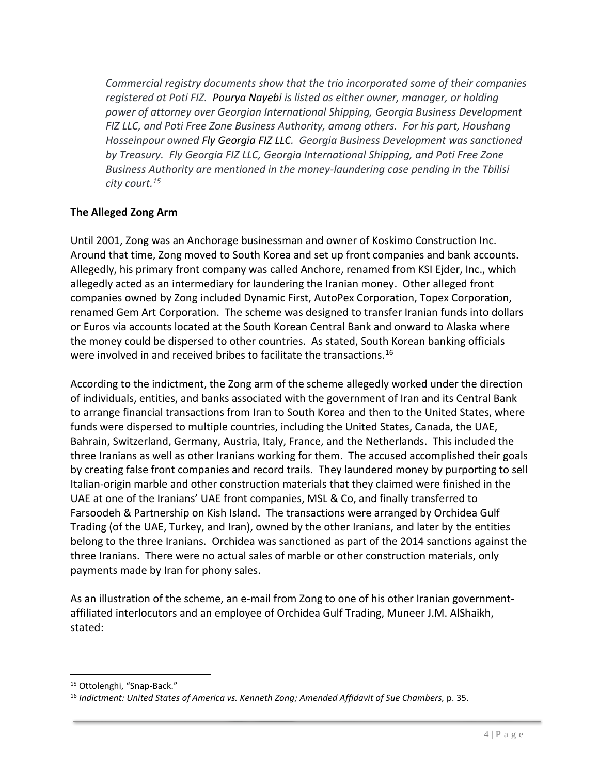*Commercial registry documents show that the trio incorporated some of their companies registered at Poti FIZ. Pourya Nayebi is listed as either owner, manager, or holding power of attorney over Georgian International Shipping, Georgia Business Development FIZ LLC, and Poti Free Zone Business Authority, among others. For his part, Houshang Hosseinpour owned Fly Georgia FIZ LLC. Georgia Business Development was sanctioned by Treasury. Fly Georgia FIZ LLC, Georgia International Shipping, and Poti Free Zone Business Authority are mentioned in the money-laundering case pending in the Tbilisi city court.<sup>15</sup>* 

### **The Alleged Zong Arm**

Until 2001, Zong was an Anchorage businessman and owner of Koskimo Construction Inc. Around that time, Zong moved to South Korea and set up front companies and bank accounts. Allegedly, his primary front company was called Anchore, renamed from KSI Ejder, Inc., which allegedly acted as an intermediary for laundering the Iranian money. Other alleged front companies owned by Zong included Dynamic First, AutoPex Corporation, Topex Corporation, renamed Gem Art Corporation. The scheme was designed to transfer Iranian funds into dollars or Euros via accounts located at the South Korean Central Bank and onward to Alaska where the money could be dispersed to other countries. As stated, South Korean banking officials were involved in and received bribes to facilitate the transactions.<sup>16</sup>

According to the indictment, the Zong arm of the scheme allegedly worked under the direction of individuals, entities, and banks associated with the government of Iran and its Central Bank to arrange financial transactions from Iran to South Korea and then to the United States, where funds were dispersed to multiple countries, including the United States, Canada, the UAE, Bahrain, Switzerland, Germany, Austria, Italy, France, and the Netherlands. This included the three Iranians as well as other Iranians working for them. The accused accomplished their goals by creating false front companies and record trails. They laundered money by purporting to sell Italian-origin marble and other construction materials that they claimed were finished in the UAE at one of the Iranians' UAE front companies, MSL & Co, and finally transferred to Farsoodeh & Partnership on Kish Island. The transactions were arranged by Orchidea Gulf Trading (of the UAE, Turkey, and Iran), owned by the other Iranians, and later by the entities belong to the three Iranians. Orchidea was sanctioned as part of the 2014 sanctions against the three Iranians. There were no actual sales of marble or other construction materials, only payments made by Iran for phony sales.

As an illustration of the scheme, an e-mail from Zong to one of his other Iranian governmentaffiliated interlocutors and an employee of Orchidea Gulf Trading, Muneer J.M. AlShaikh, stated:

 $\overline{\phantom{a}}$ 

<sup>15</sup> Ottolenghi, "Snap-Back."

<sup>16</sup> *Indictment: United States of America vs. Kenneth Zong; Amended Affidavit of Sue Chambers,* p. 35.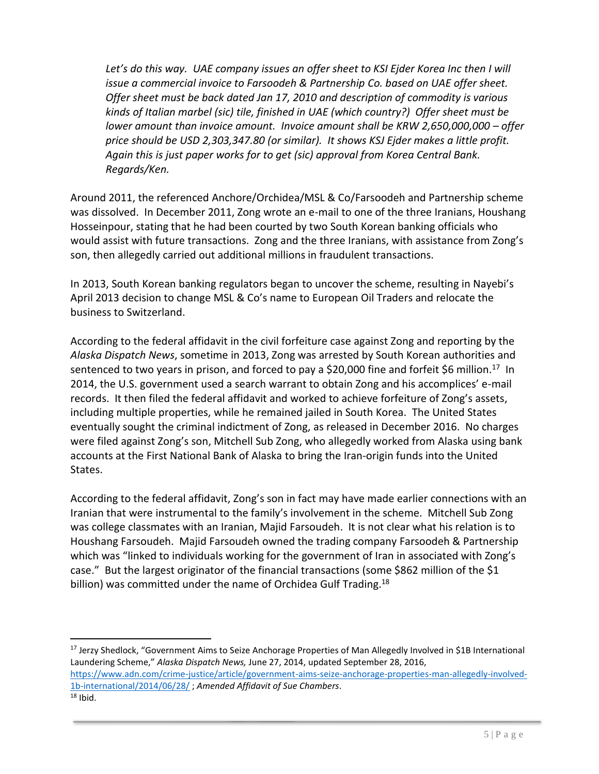Let's do this way. UAE company issues an offer sheet to KSI Ejder Korea Inc then I will *issue a commercial invoice to Farsoodeh & Partnership Co. based on UAE offer sheet. Offer sheet must be back dated Jan 17, 2010 and description of commodity is various kinds of Italian marbel (sic) tile, finished in UAE (which country?) Offer sheet must be lower amount than invoice amount. Invoice amount shall be KRW 2,650,000,000 – offer price should be USD 2,303,347.80 (or similar). It shows KSJ Ejder makes a little profit. Again this is just paper works for to get (sic) approval from Korea Central Bank. Regards/Ken.* 

Around 2011, the referenced Anchore/Orchidea/MSL & Co/Farsoodeh and Partnership scheme was dissolved. In December 2011, Zong wrote an e-mail to one of the three Iranians, Houshang Hosseinpour, stating that he had been courted by two South Korean banking officials who would assist with future transactions. Zong and the three Iranians, with assistance from Zong's son, then allegedly carried out additional millions in fraudulent transactions.

In 2013, South Korean banking regulators began to uncover the scheme, resulting in Nayebi's April 2013 decision to change MSL & Co's name to European Oil Traders and relocate the business to Switzerland.

According to the federal affidavit in the civil forfeiture case against Zong and reporting by the *Alaska Dispatch News*, sometime in 2013, Zong was arrested by South Korean authorities and sentenced to two years in prison, and forced to pay a \$20,000 fine and forfeit \$6 million.<sup>17</sup> In 2014, the U.S. government used a search warrant to obtain Zong and his accomplices' e-mail records. It then filed the federal affidavit and worked to achieve forfeiture of Zong's assets, including multiple properties, while he remained jailed in South Korea. The United States eventually sought the criminal indictment of Zong, as released in December 2016. No charges were filed against Zong's son, Mitchell Sub Zong, who allegedly worked from Alaska using bank accounts at the First National Bank of Alaska to bring the Iran-origin funds into the United States.

According to the federal affidavit, Zong's son in fact may have made earlier connections with an Iranian that were instrumental to the family's involvement in the scheme. Mitchell Sub Zong was college classmates with an Iranian, Majid Farsoudeh. It is not clear what his relation is to Houshang Farsoudeh. Majid Farsoudeh owned the trading company Farsoodeh & Partnership which was "linked to individuals working for the government of Iran in associated with Zong's case." But the largest originator of the financial transactions (some \$862 million of the \$1 billion) was committed under the name of Orchidea Gulf Trading.<sup>18</sup>

 $\overline{\phantom{a}}$ <sup>17</sup> Jerzy Shedlock, "Government Aims to Seize Anchorage Properties of Man Allegedly Involved in \$1B International Laundering Scheme," *Alaska Dispatch News,* June 27, 2014, updated September 28, 2016, [https://www.adn.com/crime-justice/article/government-aims-seize-anchorage-properties-man-allegedly-involved-](https://www.adn.com/crime-justice/article/government-aims-seize-anchorage-properties-man-allegedly-involved-1b-international/2014/06/28/)[1b-international/2014/06/28/](https://www.adn.com/crime-justice/article/government-aims-seize-anchorage-properties-man-allegedly-involved-1b-international/2014/06/28/) ; *Amended Affidavit of Sue Chambers*.  $18$  Ibid.